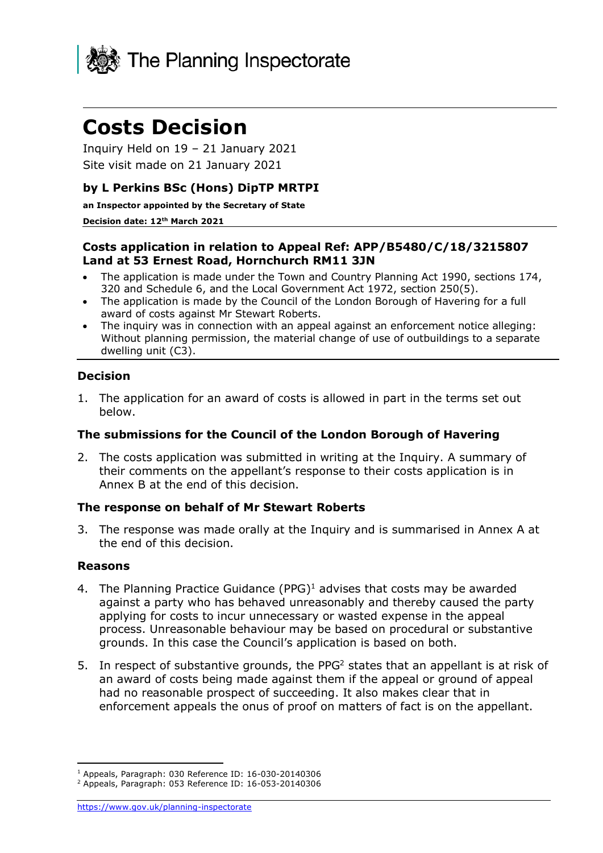

# **Costs Decision**

 Inquiry Held on 19 – 21 January 2021 Site visit made on 21 January 2021

### **by L Perkins BSc (Hons) DipTP MRTPI**

**an Inspector appointed by the Secretary of State** 

#### **Decision date: 12th March 2021**

#### **Costs application in relation to Appeal Ref: APP/B5480/C/18/3215807 Land at 53 Ernest Road, Hornchurch RM11 3JN**

- • The application is made under the Town and Country Planning Act 1990, sections 174, 320 and Schedule 6, and the Local Government Act 1972, section 250(5).
- • The application is made by the Council of the London Borough of Havering for a full award of costs against Mr Stewart Roberts.
- • The inquiry was in connection with an appeal against an enforcement notice alleging: Without planning permission, the material change of use of outbuildings to a separate dwelling unit (C3).

#### **Decision**

 1. The application for an award of costs is allowed in part in the terms set out below.

#### **The submissions for the Council of the London Borough of Havering**

 2. The costs application was submitted in writing at the Inquiry. A summary of their comments on the appellant's response to their costs application is in Annex B at the end of this decision.

#### **The response on behalf of Mr Stewart Roberts**

 3. The response was made orally at the Inquiry and is summarised in Annex A at the end of this decision.

#### **Reasons**

- 4. The Planning Practice Guidance (PPG) $<sup>1</sup>$  advises that costs may be awarded</sup> against a party who has behaved unreasonably and thereby caused the party applying for costs to incur unnecessary or wasted expense in the appeal process. Unreasonable behaviour may be based on procedural or substantive grounds. In this case the Council's application is based on both.
- 5. In respect of substantive grounds, the PPG<sup>2</sup> states that an appellant is at risk of an award of costs being made against them if the appeal or ground of appeal had no reasonable prospect of succeeding. It also makes clear that in enforcement appeals the onus of proof on matters of fact is on the appellant.

<sup>1</sup> Appeals, Paragraph: 030 Reference ID: 16-030-20140306 2 Appeals, Paragraph: 053 Reference ID: 16-053-20140306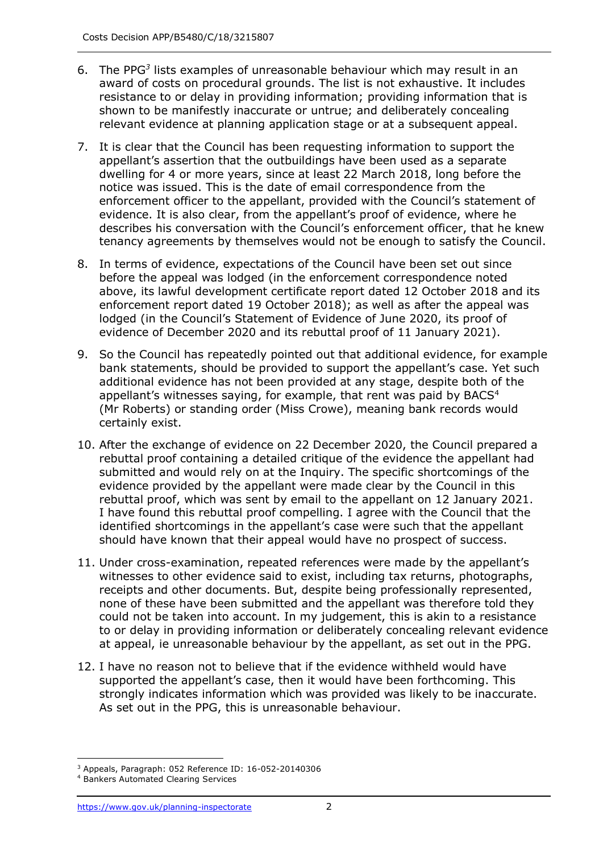- 6. The PPG*<sup>3</sup>* lists examples of unreasonable behaviour which may result in an award of costs on procedural grounds. The list is not exhaustive. It includes resistance to or delay in providing information; providing information that is shown to be manifestly inaccurate or untrue; and deliberately concealing relevant evidence at planning application stage or at a subsequent appeal.
- 7. It is clear that the Council has been requesting information to support the appellant's assertion that the outbuildings have been used as a separate dwelling for 4 or more years, since at least 22 March 2018, long before the notice was issued. This is the date of email correspondence from the enforcement officer to the appellant, provided with the Council's statement of evidence. It is also clear, from the appellant's proof of evidence, where he describes his conversation with the Council's enforcement officer, that he knew tenancy agreements by themselves would not be enough to satisfy the Council.
- 8. In terms of evidence, expectations of the Council have been set out since before the appeal was lodged (in the enforcement correspondence noted above, its lawful development certificate report dated 12 October 2018 and its enforcement report dated 19 October 2018); as well as after the appeal was lodged (in the Council's Statement of Evidence of June 2020, its proof of evidence of December 2020 and its rebuttal proof of 11 January 2021).
- 9. So the Council has repeatedly pointed out that additional evidence, for example bank statements, should be provided to support the appellant's case. Yet such additional evidence has not been provided at any stage, despite both of the appellant's witnesses saying, for example, that rent was paid by BACS $4$  (Mr Roberts) or standing order (Miss Crowe), meaning bank records would certainly exist.
- 10. After the exchange of evidence on 22 December 2020, the Council prepared a rebuttal proof containing a detailed critique of the evidence the appellant had submitted and would rely on at the Inquiry. The specific shortcomings of the evidence provided by the appellant were made clear by the Council in this rebuttal proof, which was sent by email to the appellant on 12 January 2021. I have found this rebuttal proof compelling. I agree with the Council that the identified shortcomings in the appellant's case were such that the appellant should have known that their appeal would have no prospect of success.
- 11. Under cross-examination, repeated references were made by the appellant's witnesses to other evidence said to exist, including tax returns, photographs, receipts and other documents. But, despite being professionally represented, none of these have been submitted and the appellant was therefore told they could not be taken into account. In my judgement, this is akin to a resistance to or delay in providing information or deliberately concealing relevant evidence at appeal, ie unreasonable behaviour by the appellant, as set out in the PPG.
- 12. I have no reason not to believe that if the evidence withheld would have supported the appellant's case, then it would have been forthcoming. This strongly indicates information which was provided was likely to be inaccurate. As set out in the PPG, this is unreasonable behaviour.

 $3$  Appeals, Paragraph: 052 Reference ID: 16-052-20140306

<sup>&</sup>lt;sup>4</sup> Bankers Automated Clearing Services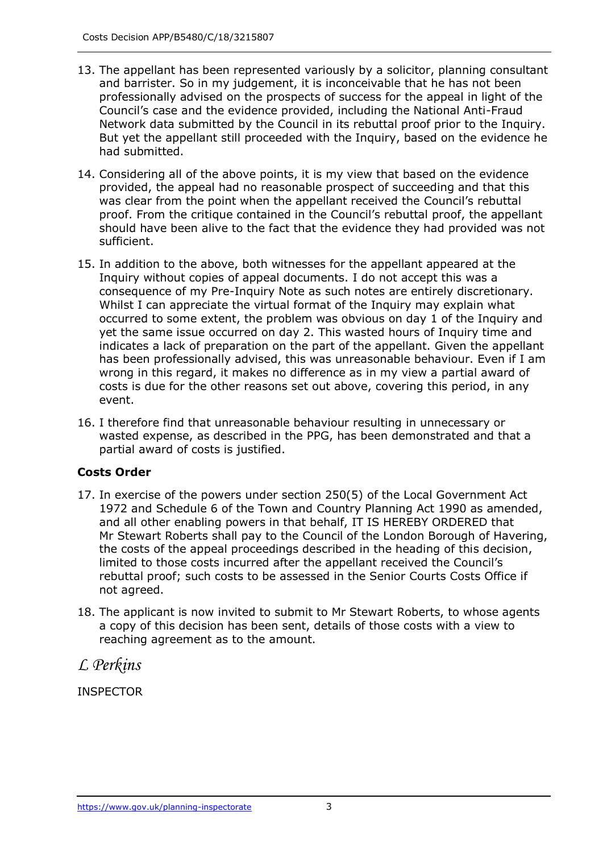- 13. The appellant has been represented variously by a solicitor, planning consultant and barrister. So in my judgement, it is inconceivable that he has not been professionally advised on the prospects of success for the appeal in light of the Council's case and the evidence provided, including the National Anti-Fraud Network data submitted by the Council in its rebuttal proof prior to the Inquiry. But yet the appellant still proceeded with the Inquiry, based on the evidence he had submitted.
- 14. Considering all of the above points, it is my view that based on the evidence provided, the appeal had no reasonable prospect of succeeding and that this was clear from the point when the appellant received the Council's rebuttal proof. From the critique contained in the Council's rebuttal proof, the appellant should have been alive to the fact that the evidence they had provided was not sufficient.
- 15. In addition to the above, both witnesses for the appellant appeared at the Inquiry without copies of appeal documents. I do not accept this was a consequence of my Pre-Inquiry Note as such notes are entirely discretionary. Whilst I can appreciate the virtual format of the Inquiry may explain what occurred to some extent, the problem was obvious on day 1 of the Inquiry and yet the same issue occurred on day 2. This wasted hours of Inquiry time and indicates a lack of preparation on the part of the appellant. Given the appellant has been professionally advised, this was unreasonable behaviour. Even if I am wrong in this regard, it makes no difference as in my view a partial award of costs is due for the other reasons set out above, covering this period, in any event.
- 16. I therefore find that unreasonable behaviour resulting in unnecessary or wasted expense, as described in the PPG, has been demonstrated and that a partial award of costs is justified.

# **Costs Order**

- 17. In exercise of the powers under section 250(5) of the Local Government Act 1972 and Schedule 6 of the Town and Country Planning Act 1990 as amended, and all other enabling powers in that behalf, IT IS HEREBY ORDERED that Mr Stewart Roberts shall pay to the Council of the London Borough of Havering, the costs of the appeal proceedings described in the heading of this decision, limited to those costs incurred after the appellant received the Council's rebuttal proof; such costs to be assessed in the Senior Courts Costs Office if not agreed.
- 18. The applicant is now invited to submit to Mr Stewart Roberts, to whose agents a copy of this decision has been sent, details of those costs with a view to reaching agreement as to the amount.

*L Perkins* 

**INSPECTOR**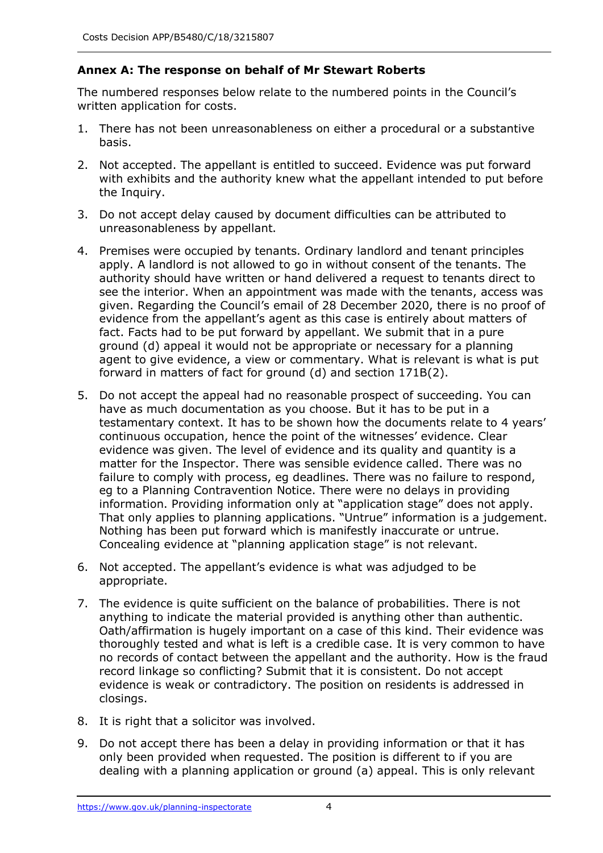# **Annex A: The response on behalf of Mr Stewart Roberts**

 The numbered responses below relate to the numbered points in the Council's written application for costs.

- 1. There has not been unreasonableness on either a procedural or a substantive basis.
- 2. Not accepted. The appellant is entitled to succeed. Evidence was put forward with exhibits and the authority knew what the appellant intended to put before the Inquiry.
- 3. Do not accept delay caused by document difficulties can be attributed to unreasonableness by appellant.
- 4. Premises were occupied by tenants. Ordinary landlord and tenant principles apply. A landlord is not allowed to go in without consent of the tenants. The authority should have written or hand delivered a request to tenants direct to see the interior. When an appointment was made with the tenants, access was given. Regarding the Council's email of 28 December 2020, there is no proof of evidence from the appellant's agent as this case is entirely about matters of fact. Facts had to be put forward by appellant. We submit that in a pure ground (d) appeal it would not be appropriate or necessary for a planning agent to give evidence, a view or commentary. What is relevant is what is put forward in matters of fact for ground (d) and section 171B(2).
- 5. Do not accept the appeal had no reasonable prospect of succeeding. You can have as much documentation as you choose. But it has to be put in a testamentary context. It has to be shown how the documents relate to 4 years' continuous occupation, hence the point of the witnesses' evidence. Clear evidence was given. The level of evidence and its quality and quantity is a matter for the Inspector. There was sensible evidence called. There was no failure to comply with process, eg deadlines. There was no failure to respond, eg to a Planning Contravention Notice. There were no delays in providing information. Providing information only at "application stage" does not apply. Nothing has been put forward which is manifestly inaccurate or untrue. Concealing evidence at "planning application stage" is not relevant. That only applies to planning applications. "Untrue" information is a judgement.
- 6. Not accepted. The appellant's evidence is what was adjudged to be appropriate.
- 7. The evidence is quite sufficient on the balance of probabilities. There is not anything to indicate the material provided is anything other than authentic. Oath/affirmation is hugely important on a case of this kind. Their evidence was thoroughly tested and what is left is a credible case. It is very common to have no records of contact between the appellant and the authority. How is the fraud record linkage so conflicting? Submit that it is consistent. Do not accept evidence is weak or contradictory. The position on residents is addressed in closings.
- 8. It is right that a solicitor was involved.
- 9. Do not accept there has been a delay in providing information or that it has only been provided when requested. The position is different to if you are dealing with a planning application or ground (a) appeal. This is only relevant